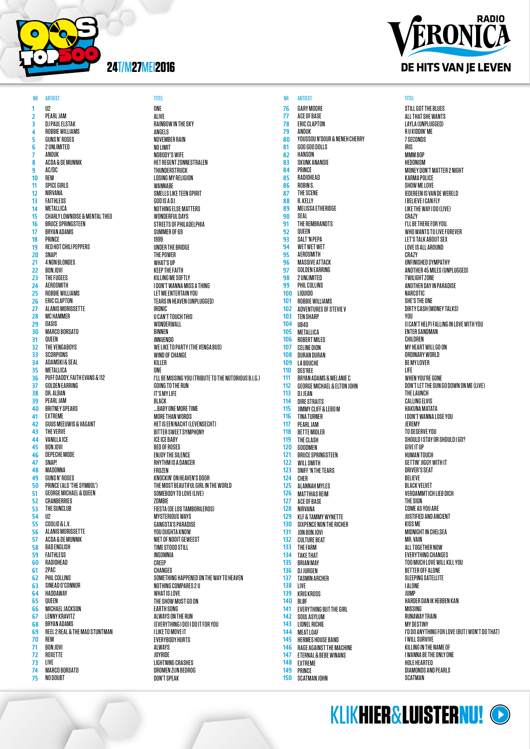

1 2 3 4 5 6 7 8  $\overline{9}$ 10 11 12 13 14 15 16 17 18 19 20 21 22 23 24 25 26 27 28 29 30 31  $\overline{32}$ 33 34 35 36 37 38 39 40 41 42 43 44 45 46  $\overline{47}$ 48 49 50 51 52 53 54 55 56 57 58 59 60 61 62 63 64 65 66 67 68 69 70 71 72 73 74 75 U2 PEARL JAM DJ PAUL ELSTAK ROBBIE WILLIAMS GUNS N' ROSES 2 UNLIMITED **ANNIK** ACDA & DE MUNNIK AC/DC REM SPICE GIRLS NIRVANA FAITHLESS METALLICA CHARLY LOWNOISE & MENTAL THEO BRUCE SPRINGSTEEN BRYAN ADAMS PRINCE RED HOT CHILI PEPPERS SNAP! 4 NON BLONDES BON JOVI THE FUGEES **AFROSMITH** ROBBIE WILLIAMS **FRIC CLAPTON** ALANIS MORISSETTE MC HAMMER OASIS MARCO BORSATO QUEEN THE VENGABOYS SCORPIONS ADAMSKI & SEAL METALLICA PUFF DADDY, FAITH EVANS & 112 GOLDEN EARRING DR. ALBAN PEARL JAM BRITNEY SPEARS EXTREME GUUS MEEUWIS & VAGANT THE VERVE VANILLA ICE BON JOVI DEPECHE MODE SNAP! **MADONNA** GUNS N' ROSES PRINCE (ALS 'THE SYMBOL') GEORGE MICHAEL & QUEEN CRANBERRIES THE SUNCLUB U2 COOLIO & L.V. ALANIS MORISSETTE ACDA & DE MUNNIK BAD ENGLISH FAITHLESS RADIOHEAD 2PAC PHIL COLLINS SINEAD O'CONNOR HADDAWAY QUEEN MICHAEL JACKSON LENNY KRAVITZ BRYAN ADAMS REEL 2 REAL & THE MAD STUNTMAN REM BON JOVI ROXETTE LIVE MARCO BORSATO NO DOUBT

### ONE ALIVE RAINBOW IN THE SKY ANGELS NOVEMBER RAIN NO LIMIT NOBODY'S WIFE HET REGENT ZONNESTRALEN THUNDERSTRUCK LOSING MY RELIGION **WANNARE** SMELLS LIKE TEEN SPIRIT GOD IS A DJ NOTHING ELSE MATTERS WONDERFUL DAYS STREETS OF PHILADELPHIA SUMMER OF 69 1999 UNDER THE BRIDGE THE POWER WHAT'S UP KEEP THE FAITH KILLING ME SOFTLY I DON'T WANNA MISS A THING LET ME ENTERTAIN YOU TEARS IN HEAVEN (UNPLUGGED) IRONIC U CAN'T TOUCH THIS WONDERWALL BINNEN INNUENDO WE LIKE TO PARTY (THE VENGA BUS) WIND OF CHANGE KILLER ONE I'LL BE MISSING YOU (TRIBUTE TO THE NOTORIOUS B.I.G.) GOING TO THE RUN IT'S MY LIFE BLACK ...BABY ONE MORE TIME MORE THAN WORDS HET IS EEN NACHT (LEVENSECHT) BITTER SWEET SYMPHONY ICE ICE BABY BED OF ROSES ENJOY THE SILENCE RHYTHM IS A DANCER FROZEN KNOCKIN' ON HEAVEN'S DOOR THE MOST BEAUTIFUL GIRL IN THE WORLD SOMEBODY TO LOVE (LIVE) **ZOMBIE** FIESTA (DE LOS TAMBORILEROS) MYSTERIOUS WAYS GANGSTA'S PARADISE YOU OUGHTA KNOW NIET OF NOOIT GEWEEST TIME STOOD STILL INSOMNIA CREEP **CHANGES** SOMETHING HAPPENED ON THE WAY TO HEAVEN NOTHING COMPARES 2 U WHAT IS LOVE THE SHOW MUST GO ON EARTH SONG ALWAYS ON THE RUN (EVERYTHING I DO) I DO IT FOR YOU I LIKE TO MOVE IT EVERYBODY HURTS ALWAYS JOYRIDE LIGHTNING CRASHES DROMEN ZIJN BEDROG NR ARTIEST TITEL NR ARTIEST TITEL

DON'T SPEAK



**GARY MOORE** ACE OF BASE ERIC CLAPTON ANOUK

GOO GOO DOLLS HANSON SKUNK ANANSIE PRINCE RADIOHEAD ROBIN S. THE SCENE R. KELLY MELISSA ETHERIDGE SEAL THE REMBRANDTS QUEEN SALT 'N PEPA WET WET WET AEROSMITH MASSIVE ATTACK GOLDEN EARRING 2 UNLIMITED PHIL COLLINS LIQUIDO ROBBIE WILLIAMS ADVENTURES OF STEVIE V TEN SHARP UB40 METALLICA ROBERT MILES CELINE DION DURAN DURAN LA BOUCHE DES'REE

YOUSSOU N'DOUR & NENEH CHERRY

BRYAN ADAMS & MELANIE C GEORGE MICHAEL & ELTON JOHN

EVERYTHING BUT THE GIRL SOUL ASYLUM LIONEL RICHIE MEAT LOAF HERMES HOUSE BAND RAGE AGAINST THE MACHINE ETERNAL & BEBE WINANS EXTREME PRINCE SCATMAN JOHN

DJ JEAN DIRE STRAITS JIMMY CLIFF & LEBO M TINA TURNER PEARL JAM BETTE MIDLER THE CLASH GOODMEN BRUCE SPRINGSTEEN WILL SMITH SNIFF 'N THE TEARS CHER ALANNAH MYLES MATTHIAS REIM ACE OF BASE NIRVANA KLF & TAMMY WYNETTE SIXPENCE NON THE RICHER JON BON JOVI CULTURE BEAT THE FARM TAKE THAT BRIAN MAY DJ JURGEN TASMIN ARCHER LIVE KRIS KROSS BLØF

STILL GOT THE BLUES ALL THAT SHE WANTS LAYLA (UNPLUGGED) R U KIDDIN' ME 7 SECONDS IRIS MMM BOP HEDONISM MONEY DON'T MATTER 2 NIGHT KARMA POLICE SHOW ME LOVE IEDEREEN IS VAN DE WERELD I BELIEVE I CAN FLY LIKE THE WAY I DO (LIVE) CRAZY I'LL BE THERE FOR YOU. WHO WANTS TO LIVE FOREVER LET'S TALK ABOUT SEX LOVE IS ALL AROUND CR<sub>AZY</sub> UNFINISHED SYMPATHY ANOTHER 45 MILES (UNPLUGGED) TWILIGHT ZONE ANOTHER DAY IN PARADISE NARCOTIC SHE'S THE ONE DIRTY CASH (MONEY TALKS) YNII (I CAN'T HELP) FALLING IN LOVE WITH YOU ENTER SANDMAN CHILDREN MY HEART WILL GO ON ORDINARY WORLD BE MY LOVER LIFE WHEN YOU'RE GONE DON'T LET THE SUN GO DOWN ON ME (LIVE) THE LAUNCH CALLING ELVIS HAKUNA MATATA I DON'T WANNA LOSE YOU JEREMY TO DESERVE YOU SHOULD I STAY OR SHOULD I GO? GIVE IT UP HUMAN TOUCH GETTIN' JIGGY WITH IT DRIVER'S SEAT BELIEVE BLACK VELVET VERDAMMT ICH LIEB DICH THE SIGN COME AS YOU ARE JUSTIFIED AND ANCIENT KISS ME MIDNIGHT IN CHELSEA MR. VAIN ALL TOGETHER NOW EVERYTHING CHANGES TOO MUCH LOVE WILL KILL YOU BETTER OFF ALONE SLEEPING SATELLITE I ALONE JUMP HARDER DAN IK HEBBEN KAN MISSING RUNAWAY TRAIN MY DESTINY I'D DO ANYTHING FOR LOVE (BUT I WON'T DO THAT) I WILL SURVIVE KILLING IN THE NAME OF I WANNA BE THE ONLY ONE HOLE HEARTED DIAMONDS AND PEARLS SCATMAN

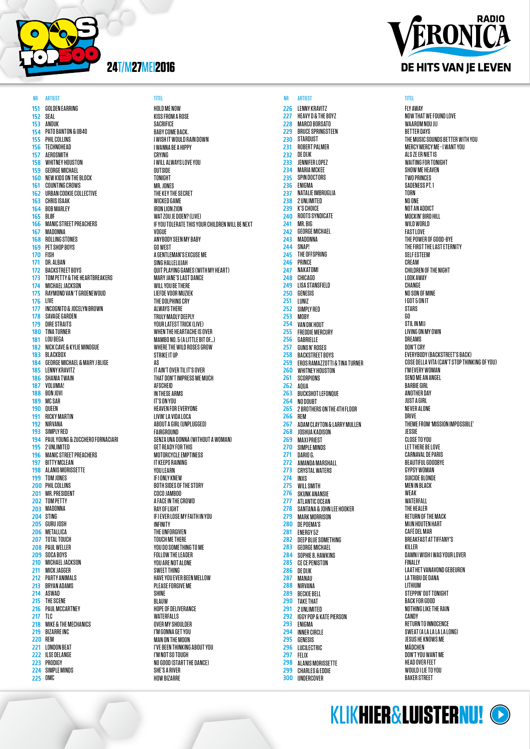

151 152 153 154 155 156 157 158 159 160 161 162 163 164 165 166 167 168 169 170 171 172 173 174 175 176 177 178 179 180 181 182 183 184 185 186 187 188 189 190 191 192 193 194 195 196 197 198 199 200 201 202 203 204 205 206 207 208 209 210 211 212 213 214 215 216 217 218 219 220 221 222 223 224  $225$ GOLDEN EARRING SEAL **ANNIK** PATO BANTON & UB40 PHIL COLLINS TECHNOHEAD AEROSMITH WHITNEY HOUSTON GEORGE MICHAEL NEW KIDS ON THE BLOCK COUNTING CROWS URBAN COOKIE COLLECTIVE CHRIS ISAAK BOB MARLEY BLØF MANIC STREET PREACHERS MADONNA ROLLING STONES PET SHOP BOYS FISH DR. ALBAN BACKSTREET BOYS TOM PETTY & THE HEARTBREAKERS MICHAEL JACKSON RAYMOND VAN 'T GROENEWOUD LIVE INCOGNITO & JOCELYN BROWN SAVAGE GARDEN DIRE STRAITS TINA TURNER LOU BEGA NICK CAVE & KYLIE MINOGUE BLACKBOX GEORGE MICHAEL & MARY J BLIGE LENNY KRAVITZ SHANIA TWAIN VOLUMIA! BON JOVI MC SAR QUEEN RICKY MARTIN NIRVANA SIMPLY RED PAUL YOUNG & ZUCCHERO FORNACIARI 2 UNLIMITED MANIC STREET PREACHERS **BITTY MCLEAN** ALANIS MORISSETTE **TOM JONES** PHIL COLLINS MR. PRESIDENT TOM PETTY MADONNA STING GURU JOSH METALLICA TOTAL TOUCH PAUL WELLER SOCA BOYS MICHAEL JACKSON MICK JAGGER PARTY ANIMALS BRYAN ADAMS ASWAD THE SCENE PAUL MCCARTNEY TLC MIKE & THE MECHANICS BIZARRE INC REM LONDON BEAT ILSE DELANGE PRODIGY SIMPLE MINDS n<sub>MC</sub>

# NR ARTIEST TITEL NR ARTIEST TITEL

HOLD ME NOW KISS FROM A ROSE SACRIFICE BABY COME BACK. I WISH IT WOULD RAIN DOWN I WANNA BE A HIPPY CRYING I WILL ALWAYS LOVE YOU OUTSIDE TONIGHT MR. JONES THE KEY THE SECRET WICKED GAME IRON LION ZION WAT ZOU JE DOEN? (LIVE) IF YOU TOLERATE THIS YOUR CHILDREN WILL BE NEXT VOGUE ANYBODY SEEN MY BABY GO WEST A GENTLEMAN'S EXCUSE ME SING HALLELUJAH QUIT PLAYING GAMES (WITH MY HEART) MARY JANE'S LAST DANCE WILL YOU BE THERE LIEFDE VOOR MUZIEK THE DOLPHINS CRY ALWAYS THERE TRULY MADLY DEEPLY YOUR LATEST TRICK (LIVE) WHEN THE HEARTACHE IS OVER MAMBO NO. 5 (A LITTLE BIT OF…) WHERE THE WILD ROSES GROW STRIKE IT UP AS IT AIN'T OVER TIL IT'S OVER THAT DON'T IMPRESS ME MUCH **AFSCHEID** IN THESE ARMS IT'S ON YOU HEAVEN FOR EVERYONE LIVIN' LA VIDA LOCA ABOUT A GIRL (UNPLUGGED) **FAIRGROUND** SENZA UNA DONNA (WITHOUT A WOMAN) GET READY FOR THIS MOTORCYCLE EMPTINESS IT KEEPS RAINING **YOULFARN** IF I ONLY KNEW BOTH SIDES OF THE STORY COCO JAMBOO A FACE IN THE CROWD RAY OF LIGHT IF I EVER LOSE MY FAITH IN YOU INFINITY THE UNFORGIVEN TOUCH ME THERE YOU DO SOMETHING TO ME FOLLOW THE LEADER YOU ARE NOT ALONE SWEET THING HAVE YOU EVER BEEN MELLOW PLEASE FORGIVE ME SHINE BLAUW HOPE OF DELIVERANCE WATERFALLS OVER MY SHOULDER I'M GONNA GET YOU MAN ON THE MOON I'VE BEEN THINKING ABOUT YOU I'M NOT SO TOUGH NO GOOD (START THE DANCE) SHE'S A RIVER HOW BIZARRE



LENNY KRAVITZ HEAVY D & THE BOYZ MARCO BORSATO BRUCE SPRINGSTEEN STARDUST ROBERT PALMER DE DIJK JENNIFER LOPEZ MARIA MCKEE SPIN DOCTORS **ENIGMA** NATALIF IMBRIIGI IA 2 UNLIMITED K'S CHOICE ROOTS SYNDICATE MR. BIG GEORGE MICHAEL MADONNA SNAP! THE OFFSPRING PRINCE NAKATOMI CHICAGO LISA STANSFIELD GENESIS LUNIZ SIMPLY RED MOBY VAN DIK HOUT FREDDIE MERCURY GABRIELLE GUNS N' ROSES BACKSTREET BOYS EROS RAMAZZOTTI & TINA TURNER WHITNEY HOUSTON SCORPIONS AQUA BUCKSHOT LEFONQUE NO DOUBT

2 BROTHERS ON THE 4TH FLOOR

ADAM CLAYTON & LARRY MULLEN JOSHUA KADISON **MAXI PRIEST** SIMPLE MINDS DARIO G. AMANDA MARSHALL CRYSTAL WATERS INXS WILL SMITH SKUNK ANANSIE ATLANTIC OCEAN SANTANA & JOHN LEE HOOKER MARK MORRISON DE POEMA'S ENERGY 52 DEEP BLUE SOMETHING GEORGE MICHAEL SOPHIE B. HAWKINS CE CE PENISTON DE DIJK MANAU NIRVANA BECKIE BELL TAKE THAT 2 UNLIMITED IGGY POP & KATE PIERSON

REM

ENIGMA INNER CIRCLE **GENESIS** LUCILECTRIC FELIX ALANIS MORISSETTE CHARLES & EDDIE **UNDERCOVER** 

FLY AWAY NOW THAT WE FOUND LOVE WAAROM NOU JIJ BETTER DAYS THE MUSIC SOUNDS BETTER WITH YOU MERCY MERCY ME - I WANT YOU ALS ZE ER NIET IS WAITING FOR TONIGHT SHOW ME HEAVEN TWO PRINCES SADENESS PT. 1 TORN NO ONE NOT AN ADDICT MOCKIN' BIRD HILL WILD WORLD **FAST LOVE** THE POWER OF GOOD-BYE THE FIRST THE LAST ETERNITY SELF ESTEEM **CREAM** CHILDREN OF THE NIGHT LOOK AWAY **CHANGE** NO SON OF MINE I GOT 5 ON IT STARS GO STIL IN MIJ LIVING ON MY OWN DREAMS DON'T CRY EVERYBODY (BACKSTREET'S BACK) COSE DELLA VITA (CAN'T STOP THINKING OF YOU) I'M EVERY WOMAN SEND ME AN ANGEL BARBIE GIRL ANOTHER DAY JUST A GIRL NEVER ALONE DRIVE THEME FROM 'MISSION IMPOSSIBLE' JESSIE CLOSE TO YOU LET THERE BE LOVE CARNAVAL DE PARIS BEAUTIFUL GOODBYE GYPSY WOMAN SUICIDE BLONDE MEN IN BLACK WEAK WATERFALL THE HEALER RETURN OF THE MACK MIJN HOUTEN HART CAFÉ DEL MAR BREAKFAST AT TIFFANY'S KILLER DAMN I WISH I WAS YOUR LOVER FINALLY LAAT HET VANAVOND GEBEUREN LA TRIBU DE DANA **LITHIUM** STEPPIN' OUT TONIGHT BACK FOR GOOD NOTHING LIKE THE RAIN CANDY RETURN TO INNOCENCE SWEAT (A LA LA LA LA LONG) JESUS HE KNOWS ME MÄDCHEN DON'T YOU WANT ME HEAD OVER FEET WOULD I LIE TO YOU BAKER STREET

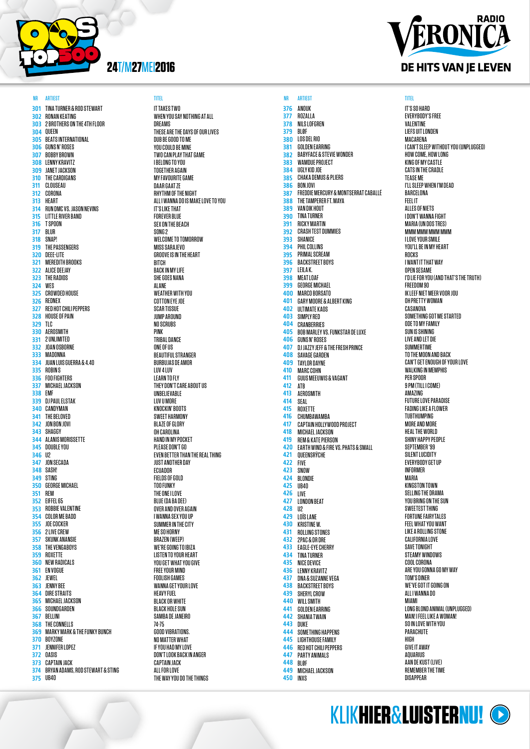

301 302 303 304 305 306 307 308 309 310 311 312 313 314 315 316 317 318 319 320 321 322 323 324 325 326 327 328 329 330 331 332 333 334 335 336 337 338 339 340 341 342 343 344 345 346 347 JON SECADA 348 349 STING 350 351 352 353 354 355 356 357 358 359 360 361 362 363 364 365 366 367 368 369 370 371 372 373 374 375 TINA TURNER & ROD STEWART **DONAN KEATING** 2 BROTHERS ON THE 4TH FLOOR QUEEN BEATS INTERNATIONAL GUNS N' ROSES BOBBY BROWN LENNY KRAVITZ JANET JACKSON THE CARDIGANS CLOUSE ALL CORONA HEART RUN DMC VS. JASON NEVINS LITTLE RIVER BAND T SPOON BLUR SNAP! THE PASSENGERS DEEE-LITE MEREDITH BROOKS ALICE DEEJAY THE RADIOS **WFS** CROWDED HOUSE REDNEX RED HOT CHILI PEPPERS HOUSE OF PAIN TLC AEROSMITH 2 UNLIMITED JOAN OSBORNE **MADONNA** JUAN LUIS GUERRA & 4.40 ROBIN S FOO FIGHTERS MICHAEL JACKSON EMF DJ PAUL ELSTAK CANDYMAN THE BELOVED JON BON JOVI SHAGGY ALANIS MORISSETTE DOUBLE YOU  $\mathsf{II}2$ SASH! GEORGE MICHAEL REM EIFFEL 65 ROBBIE VALENTINE COLOR ME BADD JOE COCKER 2 LIVE CREW SKUNK ANANSIE THE VENGABOYS ROXETTE NEW RADICALS EN VOGUE JEWEL JENNY BEE DIRE STRAITS MICHAEL JACKSON SOUNDGARDEN BELLINI THE CONNELLS MARKY MARK & THE FUNKY BUNCH BOYZONE JENNIFER LOPEZ OASIS CAPTAIN JACK BRYAN ADAMS, ROD STEWART & STING **UR40** 

**IT TAKES TWO** WHEN YOU SAY NOTHING AT ALL DREAMS THESE ARE THE DAYS OF OUR LIVES DUB BE GOOD TO ME YOU COULD BE MINE TWO CAN PLAY THAT GAME I BELONG TO YOU TOGETHER AGAIN MY FAVOURITE GAME DAAR GAAT ZE RHYTHM OF THE NIGHT ALL I WANNA DO IS MAKE LOVE TO YOU IT'S LIKE THAT FOREVER BLUE SEX ON THE BEACH SONG<sub>2</sub> WELCOME TO TOMORROW MISS SARAJEVO GROOVE IS IN THE HEART **BITCH** BACK IN MY LIFE SHE GOES NANA ALANE WEATHER WITH YOU COTTON EYE JOE SCAR TISSUE **JUMP AROUND** NO SCRUBS PINK TRIBAL DANCE ONE OF US BEAUTIFUL STRANGER BURBUJAS DE AMOR LUV 4 LUV LEARN TO FLY THEY DON'T CARE ABOUT US UNBELIEVABLE LUV U MORE KNOCKIN' BOOTS SWEET HARMONY BLAZE OF GLORY OH CAROLINA HAND IN MY POCKET PLEASE DON'T GO EVEN BETTER THAN THE REAL THING JUST ANOTHER DAY **FCUADOR** FIELDS OF GOLD TOO FUNKY THE ONE I LOVE BLUE (DA BA DEE) OVER AND OVER AGAIN I WANNA SEX YOU UP SUMMER IN THE CITY ME SO HORNY BRAZEN (WEEP) WE'RE GOING TO IBIZA LISTEN TO YOUR HEART YOU GET WHAT YOU GIVE FREE YOUR MIND FOOLISH GAMES WANNA GET YOUR LOVE HEAVY FUEL BLACK OR WHITE BLACK HOLE SUN SAMBA DE JANEIRO 74-75 GOOD VIBRATIONS. NO MATTER WHAT IF YOU HAD MY LOVE DON'T LOOK BACK IN ANGER CAPTAIN JACK ALL FOR LOVE THE WAY YOU DO THE THINGS

376 377 378 379 380 381 382 383 384 385 386 387 388 389 390 391 392 393 394 395 396 397 398 399 400 401 402 403 404 405 406 407 408 409 410 411 412 413 414 415 416 417 418 419 420 421 422 423 424 425 426 427 428 429 430 431 432 433 434 435 436 437 438 439 440 441 442 443 444 445 446 447 448 449 MICHAEL JACKSON 450 ANDUK ROZALLA NILS LOFGREN BLØF LOS DEL RIO GOLDEN EARRING BABYFACE & STEVIE WONDER WAMDUE PROJECT UGLY KID JOE CHAKA DEMUS & PLIERS BON JOVI FREDDIE MERCURY & MONTSERRAT CABALLÉ THE TAMPERER FT. MAYA VAN DIK HOUT TINA TURNER RICKY MARTIN CRASH TEST DUMMIES SHANICE PHIL COLLINS PRIMAL SCREAM BACKSTREET BOYS LEILA K. MEAT LOAF GEORGE MICHAEL MARCO BORSATO GARY MOORE & ALBERT KING ULTIMATE KAOS SIMPLY RED CRANBERRIES BOB MARLEY VS. FUNKSTAR DE LUXE GUNS N' ROSES DJ JAZZY JEFF & THE FRESH PRINCE SAVAGE GARDEN TAYLOR DAYNE MARC COHN GUUS MEEUWIS & VAGANT ATB AEROSMITH SEAL ROXETTE CHUMBAWAMBA CAPTAIN HOLLYWOOD PROJECT MICHAEL JACKSON REM & KATE PIERSON EARTH WIND & FIRE VS. PHATS & SMALL QUEENSRŸCHE FIVE SNOW BLONDIE UB40 LIVE LONDON BEAT U2 LOÏS LANE KRISTINE W. ROLLING STONES 2PAC & DR DRE EAGLE-EYE CHERRY TINA TURNER NICE DEVICE LENNY KRAVITZ DNA & SUZANNE VEGA BACKSTREET BOYS SHERYL CROW WILL SMITH GOLDEN EARRING SHANIA TWAIN DUKE SOMETHING HAPPENS LIGHTHOUSE FAMILY RED HOT CHILI PEPPERS PARTY ANIMALS BLØF INXS NR ARTIEST TITEL NR ARTIEST TITEL

# **RADIO** ERONICA DE HITS VAN JE LEVEN

IT'S SO HARD EVERYBODY'S FREE VALENTINE LIEFS UIT LONDEN MACARENA I CAN'T SLEEP WITHOUT YOU (UNPLUGGED) HOW COME, HOW LONG KING OF MY CASTLE CATS IN THE CRADLE TEASE ME I'LL SLEEP WHEN I'M DEAD BARCELONA FEEL IT ALLES OF NIETS I DON'T WANNA FIGHT MARIA (UN DOS TRES) MMM MMM MMM MMM I LOVE YOUR SMILE YOU'LL BE IN MY HEART **ROCKS** I WANT IT THAT WAY OPEN SESAME I'D LIE FOR YOU (AND THAT'S THE TRUTH) FREEDOM 90 IK LEEF NIET MEER VOOR JOU OH PRETTY WOMAN CASANOVA SOMETHING GOT ME STARTED ODE TO MY FAMILY SUN IS SHINING LIVE AND LET DIE SUMMERTIME TO THE MOON AND BACK CAN'T GET ENOUGH OF YOUR LOVE WALKING IN MEMPHIS PER SPOOR 9 PM (TILL I COME) AMAZING FUTURE LOVE PARADISE FADING LIKE A FLOWER TUBTHUMPING MORE AND MORE HEAL THE WORLD SHINY HAPPY PEOPLE SEPTEMBER '99 SILENT LUCIDITY EVERYBODY GET UP INFORMER MARIA KINGSTON TOWN SELLING THE DRAMA YOU BRING ON THE SUN SWEETEST THING FORTUNE FAIRYTALES FEEL WHAT YOU WANT LIKE A ROLLING STONE CALIFORNIA LOVE SAVE TONIGHT STEAMY WINDOWS COOL CORONA ARE YOU GONNA GO MY WAY TOM'S DINER WE'VE GOT IT GOING ON ALL I WANNA DO MIAMI LONG BLOND ANIMAL (UNPLUGGED) MAN! I FEEL LIKE A WOMAN! SO IN LOVE WITH YOU **PARACHIITE** HIGH GIVE IT AWAY **ANIIARIUS** AAN DE KUST (LIVE) REMEMBER THE TIME **DISAPPEAR**